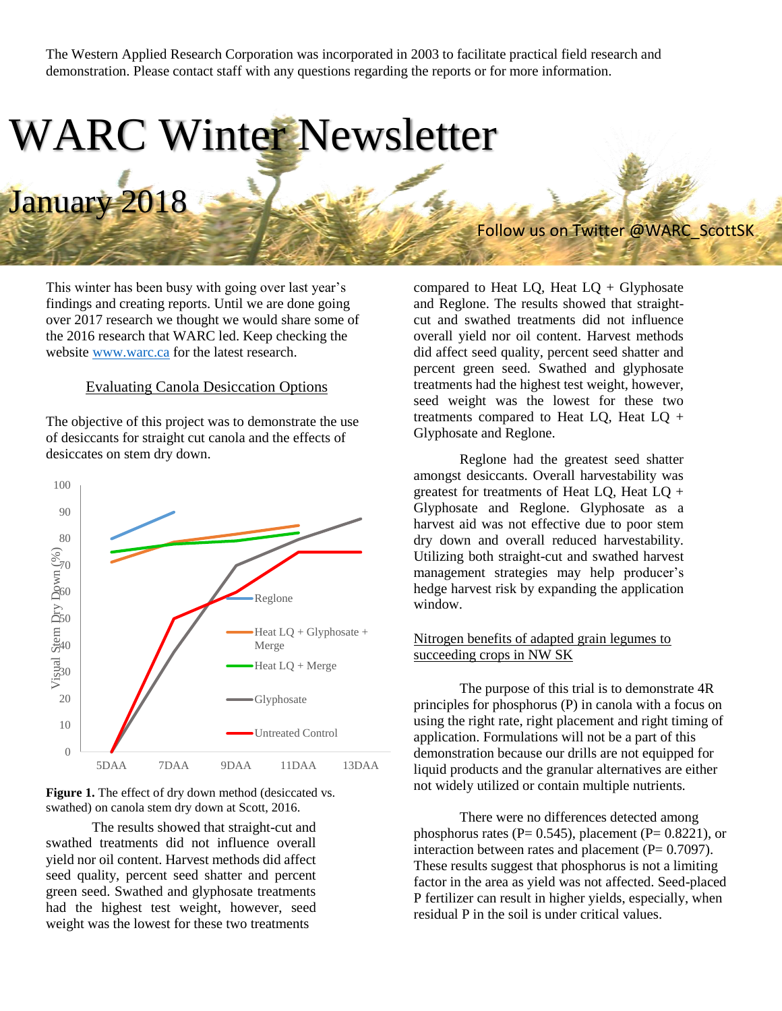The Western Applied Research Corporation was incorporated in 2003 to facilitate practical field research and demonstration. Please contact staff with any questions regarding the reports or for more information.

## WARC Winter Newsletter January 2018

This winter has been busy with going over last year's findings and creating reports. Until we are done going over 2017 research we thought we would share some of the 2016 research that WARC led. Keep checking the website [www.warc.ca](http://www.warc.ca/) for the latest research.

## Evaluating Canola Desiccation Options

The objective of this project was to demonstrate the use of desiccants for straight cut canola and the effects of desiccates on stem dry down.





The results showed that straight-cut and swathed treatments did not influence overall yield nor oil content. Harvest methods did affect seed quality, percent seed shatter and percent green seed. Swathed and glyphosate treatments had the highest test weight, however, seed weight was the lowest for these two treatments

compared to Heat  $LQ$ , Heat  $LQ$  + Glyphosate and Reglone. The results showed that straightcut and swathed treatments did not influence overall yield nor oil content. Harvest methods did affect seed quality, percent seed shatter and percent green seed. Swathed and glyphosate treatments had the highest test weight, however, seed weight was the lowest for these two treatments compared to Heat LQ, Heat  $LQ$  + Glyphosate and Reglone.

Follow us on Twitter @WARC\_ScottSK

Reglone had the greatest seed shatter amongst desiccants. Overall harvestability was greatest for treatments of Heat LQ, Heat LQ + Glyphosate and Reglone. Glyphosate as a harvest aid was not effective due to poor stem dry down and overall reduced harvestability. Utilizing both straight-cut and swathed harvest management strategies may help producer's hedge harvest risk by expanding the application window.

## Nitrogen benefits of adapted grain legumes to succeeding crops in NW SK

The purpose of this trial is to demonstrate 4R principles for phosphorus (P) in canola with a focus on using the right rate, right placement and right timing of application. Formulations will not be a part of this demonstration because our drills are not equipped for liquid products and the granular alternatives are either not widely utilized or contain multiple nutrients.

There were no differences detected among phosphorus rates ( $P= 0.545$ ), placement ( $P= 0.8221$ ), or interaction between rates and placement  $(P= 0.7097)$ . These results suggest that phosphorus is not a limiting factor in the area as yield was not affected. Seed-placed P fertilizer can result in higher yields, especially, when residual P in the soil is under critical values.